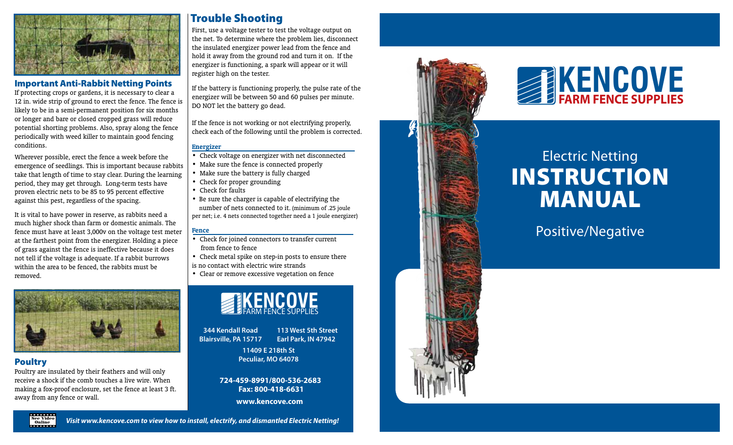

## **Important Anti-Rabbit Netting Points**

12 in. wide strip of ground to erect the fence. The fence is likely to be in a semi-permanent position for six months or longer and bare or closed cropped grass will reduce potential shorting problems. Also, spray along the fence periodically with weed killer to maintain good fencing conditions.

Wherever possible, erect the fence a week before the emergence of seedlings. This is important because rabbits take that length of time to stay clear. During the learning period, they may get through. Long-term tests have proven electric nets to be 85 to 95 percent effective against this pest, regardless of the spacing.

It is vital to have power in reserve, as rabbits need a much higher shock than farm or domestic animals. The fence must have at least 3,000v on the voltage test meter at the farthest point from the energizer. Holding a piece of grass against the fence is ineffective because it does not tell if the voltage is adequate. If a rabbit burrows within the area to be fenced, the rabbits must be removed.



## Poultry

Poultry are insulated by their feathers and will only receive a shock if the comb touches a live wire. When making a fox-proof enclosure, set the fence at least 3 ft. away from any fence or wall.

First, use a voltage tester to test the voltage output on the net. To determine where the problem lies, disconnect the insulated energizer power lead from the fence and hold it away from the ground rod and turn it on. If the energizer is functioning, a spark will appear or it will register high on the tester. **Trouble Shooting**<br>First, use a voltage tester to test the voltage output on<br>the net. To determine where the problem lies, disconnect<br>the insulated energizer power lead from the fence and<br>hold it away from the ground rod

If the battery is functioning properly, the pulse rate of the energizer will be between 50 and 60 pulses per minute. DO NOT let the battery go dead.

If the fence is not working or not electrifying properly, check each of the following until the problem is corrected.

## **Energizer**

- Check voltage on energizer with net disconnected
- Make sure the fence is connected properly
- Make sure the battery is fully charged
- Check for proper grounding
- Check for faults
- Be sure the charger is capable of electrifying the number of nets connected to it. (minimum of .25 joule

## **Fence**

- Check for joined connectors to transfer current from fence to fence
- Check metal spike on step-in posts to ensure there is no contact with electric wire strands
- Clear or remove excessive vegetation on fence



**344 Kendall Road Blairsville, PA 15717 113 West 5th Street Earl Park, IN 47942**

> **11409 E 218th St Peculiar, MO 64078**

**724-459-8991/800-536-2683 Fax: 800-418-6631**

**www.kencove.com**





# Electric Netting **INSTRUCTION** Manual **POSITIVE SUPPLIES<br>
FARM FENCE SUPPLIES<br>
STRUCTION<br>
MANUAL**<br>
Positive/Negative



Visit www.kencove.com to view how to install, electrify, and dismantled Electric Netting!